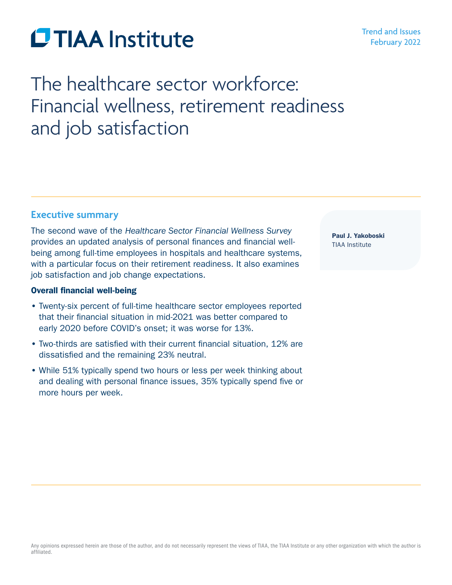# **CTIAA** Institute

# The healthcare sector workforce: Financial wellness, retirement readiness and job satisfaction

# **Executive summary**

The second wave of the *Healthcare Sector Financial Wellness Survey* provides an updated analysis of personal finances and financial wellbeing among full-time employees in hospitals and healthcare systems, with a particular focus on their retirement readiness. It also examines job satisfaction and job change expectations.

# Overall financial well-being

- Twenty-six percent of full-time healthcare sector employees reported that their financial situation in mid-2021 was better compared to early 2020 before COVID's onset; it was worse for 13%.
- Two-thirds are satisfied with their current financial situation, 12% are dissatisfied and the remaining 23% neutral.
- While 51% typically spend two hours or less per week thinking about and dealing with personal finance issues, 35% typically spend five or more hours per week.

Paul J. Yakoboski TIAA Institute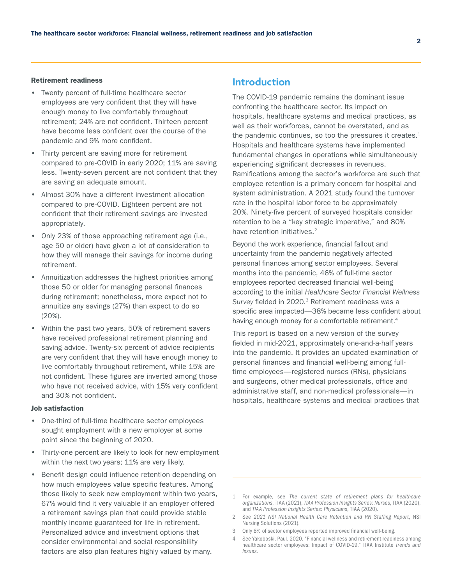#### Retirement readiness

- Twenty percent of full-time healthcare sector employees are very confident that they will have enough money to live comfortably throughout retirement; 24% are not confident. Thirteen percent have become less confident over the course of the pandemic and 9% more confident.
- Thirty percent are saving more for retirement compared to pre-COVID in early 2020; 11% are saving less. Twenty-seven percent are not confident that they are saving an adequate amount.
- Almost 30% have a different investment allocation compared to pre-COVID. Eighteen percent are not confident that their retirement savings are invested appropriately.
- Only 23% of those approaching retirement age (i.e., age 50 or older) have given a lot of consideration to how they will manage their savings for income during retirement.
- Annuitization addresses the highest priorities among those 50 or older for managing personal finances during retirement; nonetheless, more expect not to annuitize any savings (27%) than expect to do so (20%).
- Within the past two years, 50% of retirement savers have received professional retirement planning and saving advice. Twenty-six percent of advice recipients are very confident that they will have enough money to live comfortably throughout retirement, while 15% are not confident. These figures are inverted among those who have not received advice, with 15% very confident and 30% not confident.

#### Job satisfaction

- One-third of full-time healthcare sector employees sought employment with a new employer at some point since the beginning of 2020.
- Thirty-one percent are likely to look for new employment within the next two years; 11% are very likely.
- Benefit design could influence retention depending on how much employees value specific features. Among those likely to seek new employment within two years, 67% would find it very valuable if an employer offered a retirement savings plan that could provide stable monthly income guaranteed for life in retirement. Personalized advice and investment options that consider environmental and social responsibility factors are also plan features highly valued by many.

# **Introduction**

The COVID-19 pandemic remains the dominant issue confronting the healthcare sector. Its impact on hospitals, healthcare systems and medical practices, as well as their workforces, cannot be overstated, and as the pandemic continues, so too the pressures it creates. $<sup>1</sup>$ </sup> Hospitals and healthcare systems have implemented fundamental changes in operations while simultaneously experiencing significant decreases in revenues. Ramifications among the sector's workforce are such that employee retention is a primary concern for hospital and system administration. A 2021 study found the turnover rate in the hospital labor force to be approximately 20%. Ninety-five percent of surveyed hospitals consider retention to be a "key strategic imperative," and 80% have retention initiatives.<sup>2</sup>

Beyond the work experience, financial fallout and uncertainty from the pandemic negatively affected personal finances among sector employees. Several months into the pandemic, 46% of full-time sector employees reported decreased financial well-being according to the initial *Healthcare Sector Financial Wellness Survey* fielded in 2020.3 Retirement readiness was a specific area impacted—38% became less confident about having enough money for a comfortable retirement.<sup>4</sup>

This report is based on a new version of the survey fielded in mid-2021, approximately one-and-a-half years into the pandemic. It provides an updated examination of personal finances and financial well-being among fulltime employees—registered nurses (RNs), physicians and surgeons, other medical professionals, office and administrative staff, and non-medical professionals—in hospitals, healthcare systems and medical practices that

- 3 Only 8% of sector employees reported improved financial well-being.
- 4 See Yakoboski, Paul. 2020. "Financial wellness and retirement readiness among healthcare sector employees: Impact of COVID-19." TIAA Institute *Trends and Issues*.

<sup>1</sup> For example, see *The current state of retirement plans for healthcare organizations*, TIAA (2021), *TIAA Profession Insights Series: Nurses*, TIAA (2020), and *TIAA Profession Insights Series: Physicians*, TIAA (2020).

<sup>2</sup> See *2021 NSI National Health Care Retention and RN Staffing Report*, NSI Nursing Solutions (2021).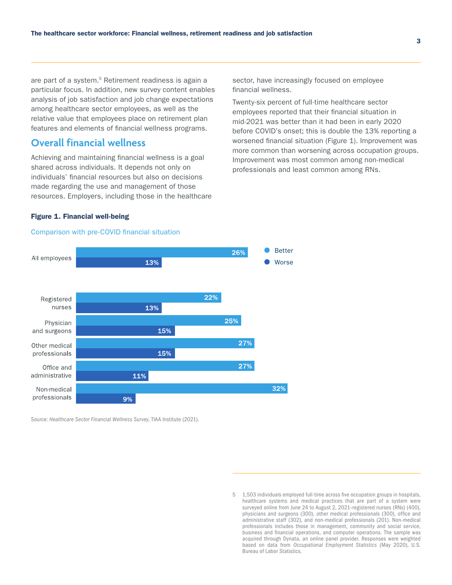are part of a system.<sup>5</sup> Retirement readiness is again a particular focus. In addition, new survey content enables analysis of job satisfaction and job change expectations among healthcare sector employees, as well as the relative value that employees place on retirement plan features and elements of financial wellness programs.

# **Overall financial wellness**

Achieving and maintaining financial wellness is a goal shared across individuals. It depends not only on individuals' financial resources but also on decisions made regarding the use and management of those resources. Employers, including those in the healthcare sector, have increasingly focused on employee financial wellness.

Twenty-six percent of full-time healthcare sector employees reported that their financial situation in mid-2021 was better than it had been in early 2020 before COVID's onset; this is double the 13% reporting a worsened financial situation (Figure 1). Improvement was more common than worsening across occupation groups. Improvement was most common among non-medical professionals and least common among RNs.

#### Figure 1. Financial well-being

#### Comparison with pre-COVID financial situation



Source: *Healthcare Sector Financia*l *Wellness Survey*, TIAA Institute (2021).

<sup>5 1,503</sup> individuals employed full-time across five occupation groups in hospitals, healthcare systems and medical practices that are part of a system were surveyed online from June 24 to August 2, 2021-registered nurses (RNs) (400), physicians and surgeons (300), other medical professionals (300), office and administrative staff (302), and non-medical professionals (201). Non-medical professionals includes those in management, community and social service, business and financial operations, and computer operations. The sample was acquired through Dynata, an online panel provider. Responses were weighted based on data from *Occupational Employment Statistics* (May 2020), U.S. Bureau of Labor Statistics.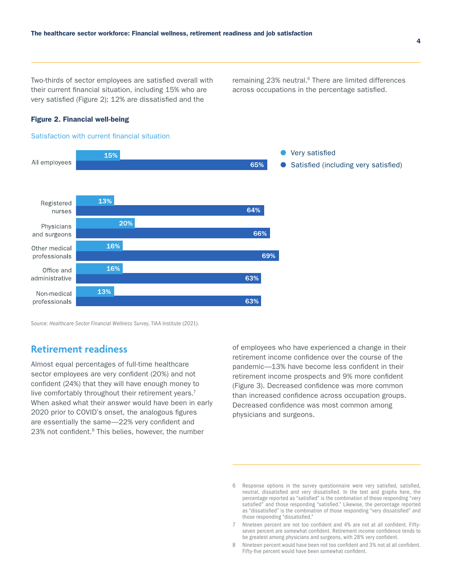Two-thirds of sector employees are satisfied overall with their current financial situation, including 15% who are very satisfied (Figure 2); 12% are dissatisfied and the

remaining 23% neutral.<sup>6</sup> There are limited differences across occupations in the percentage satisfied.

#### Figure 2. Financial well-being

#### Satisfaction with current financial situation



Source: *Healthcare Sector Financia*l *Wellness Survey*, TIAA Institute (2021).

### **Retirement readiness**

Almost equal percentages of full-time healthcare sector employees are very confident (20%) and not confident (24%) that they will have enough money to live comfortably throughout their retirement years.<sup>7</sup> When asked what their answer would have been in early 2020 prior to COVID's onset, the analogous figures are essentially the same—22% very confident and 23% not confident.<sup>8</sup> This belies, however, the number

of employees who have experienced a change in their retirement income confidence over the course of the pandemic—13% have become less confident in their retirement income prospects and 9% more confident (Figure 3). Decreased confidence was more common than increased confidence across occupation groups. Decreased confidence was most common among physicians and surgeons.

<sup>6</sup> Response options in the survey questionnaire were very satisfied, satisfied, neutral, dissatisfied and very dissatisfied. In the text and graphs here, the percentage reported as "satisfied" is the combination of those responding "very satisfied" and those responding "satisfied." Likewise, the percentage reported as "dissatisfied" is the combination of those responding "very dissatisfied" and those responding "dissatisfied."

<sup>7</sup> Nineteen percent are not too confident and 4% are not at all confident. Fiftyseven percent are somewhat confident. Retirement income confidence tends to be greatest among physicians and surgeons, with 28% very confident.

<sup>8</sup> Nineteen percent would have been not too confident and 3% not at all confident. Fifty-five percent would have been somewhat confident.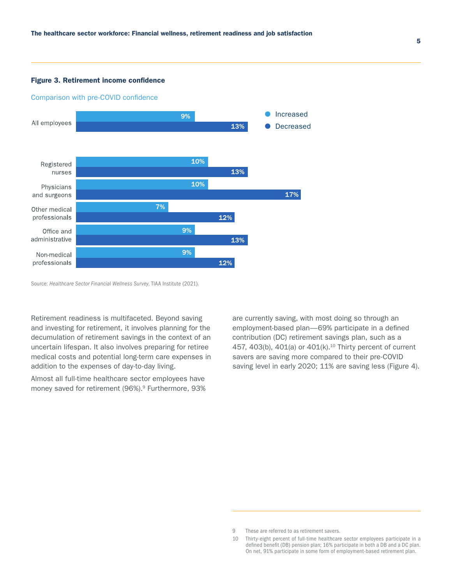#### Figure 3. Retirement income confidence



#### Comparison with pre-COVID confidence

Source: *Healthcare Sector Financia*l *Wellness Survey*, TIAA Institute (2021).

Retirement readiness is multifaceted. Beyond saving and investing for retirement, it involves planning for the decumulation of retirement savings in the context of an uncertain lifespan. It also involves preparing for retiree medical costs and potential long-term care expenses in addition to the expenses of day-to-day living.

Almost all full-time healthcare sector employees have money saved for retirement (96%).<sup>9</sup> Furthermore, 93% are currently saving, with most doing so through an employment-based plan—69% participate in a defined contribution (DC) retirement savings plan, such as a 457, 403(b), 401(a) or  $401(k)$ .<sup>10</sup> Thirty percent of current savers are saving more compared to their pre-COVID saving level in early 2020; 11% are saving less (Figure 4).

<sup>9</sup> These are referred to as retirement savers.

<sup>10</sup> Thirty-eight percent of full-time healthcare sector employees participate in a defined benefit (DB) pension plan; 16% participate in both a DB and a DC plan. On net, 91% participate in some form of employment-based retirement plan.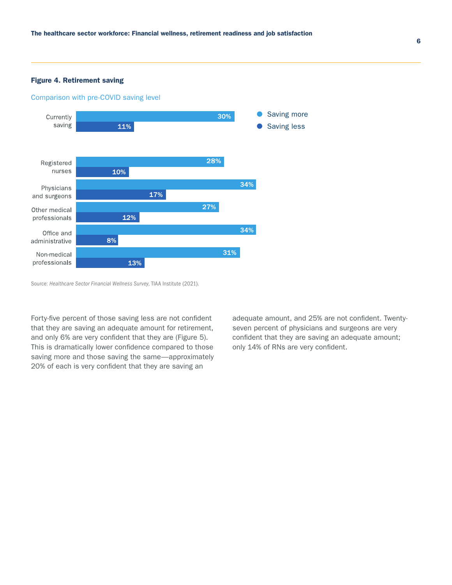#### Figure 4. Retirement saving





Source: *Healthcare Sector Financia*l *Wellness Survey*, TIAA Institute (2021).

Forty-five percent of those saving less are not confident that they are saving an adequate amount for retirement, and only 6% are very confident that they are (Figure 5). This is dramatically lower confidence compared to those saving more and those saving the same—approximately 20% of each is very confident that they are saving an

adequate amount, and 25% are not confident. Twentyseven percent of physicians and surgeons are very confident that they are saving an adequate amount; only 14% of RNs are very confident.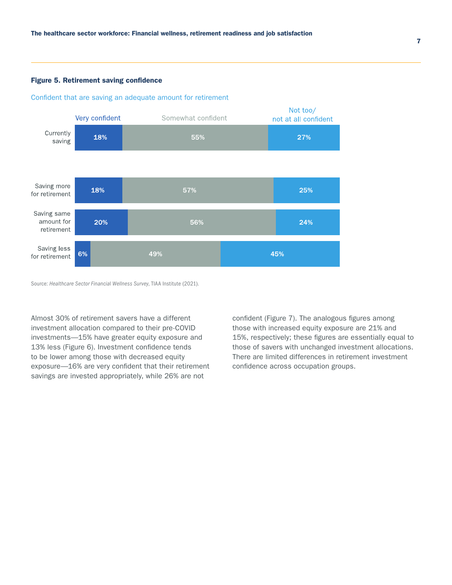#### Figure 5. Retirement saving confidence

#### Confident that are saving an adequate amount for retirement



Source: *Healthcare Sector Financia*l *Wellness Survey*, TIAA Institute (2021).

Almost 30% of retirement savers have a different investment allocation compared to their pre-COVID investments—15% have greater equity exposure and 13% less (Figure 6). Investment confidence tends to be lower among those with decreased equity exposure—16% are very confident that their retirement savings are invested appropriately, while 26% are not

confident (Figure 7). The analogous figures among those with increased equity exposure are 21% and 15%, respectively; these figures are essentially equal to those of savers with unchanged investment allocations. There are limited differences in retirement investment confidence across occupation groups.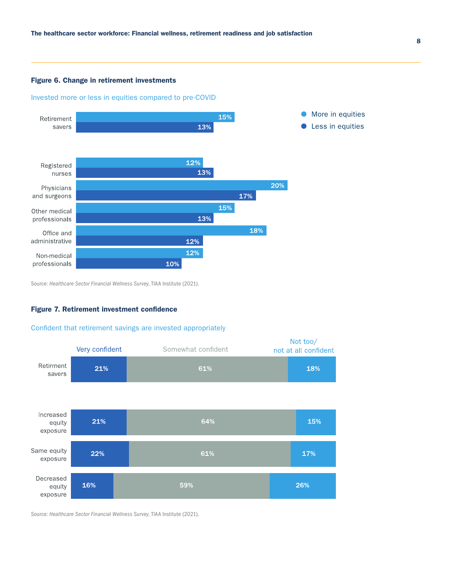#### Figure 6. Change in retirement investments

Invested more or less in equities compared to pre-COVID



Source: *Healthcare Sector Financia*l *Wellness Survey*, TIAA Institute (2021).

#### Figure 7. Retirement investment confidence

#### Confident that retirement savings are invested appropriately



Source: *Healthcare Sector Financia*l *Wellness Survey*, TIAA Institute (2021).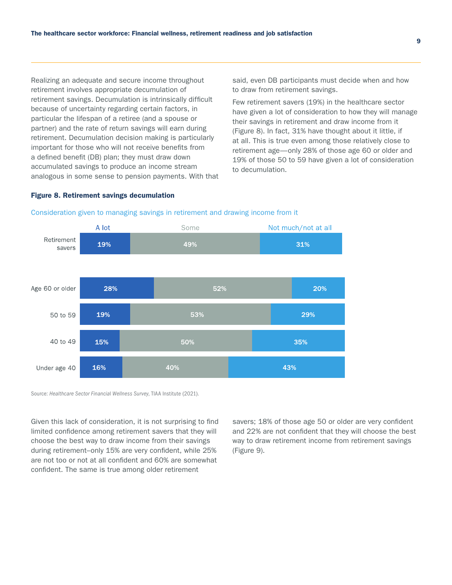Realizing an adequate and secure income throughout retirement involves appropriate decumulation of retirement savings. Decumulation is intrinsically difficult because of uncertainty regarding certain factors, in particular the lifespan of a retiree (and a spouse or partner) and the rate of return savings will earn during retirement. Decumulation decision making is particularly important for those who will not receive benefits from a defined benefit (DB) plan; they must draw down accumulated savings to produce an income stream analogous in some sense to pension payments. With that said, even DB participants must decide when and how to draw from retirement savings.

Few retirement savers (19%) in the healthcare sector have given a lot of consideration to how they will manage their savings in retirement and draw income from it (Figure 8). In fact, 31% have thought about it little, if at all. This is true even among those relatively close to retirement age—only 28% of those age 60 or older and 19% of those 50 to 59 have given a lot of consideration to decumulation.

#### Figure 8. Retirement savings decumulation



#### Consideration given to managing savings in retirement and drawing income from it

Source: *Healthcare Sector Financia*l *Wellness Survey*, TIAA Institute (2021).

Given this lack of consideration, it is not surprising to find limited confidence among retirement savers that they will choose the best way to draw income from their savings during retirement–only 15% are very confident, while 25% are not too or not at all confident and 60% are somewhat confident. The same is true among older retirement

savers; 18% of those age 50 or older are very confident and 22% are not confident that they will choose the best way to draw retirement income from retirement savings (Figure 9).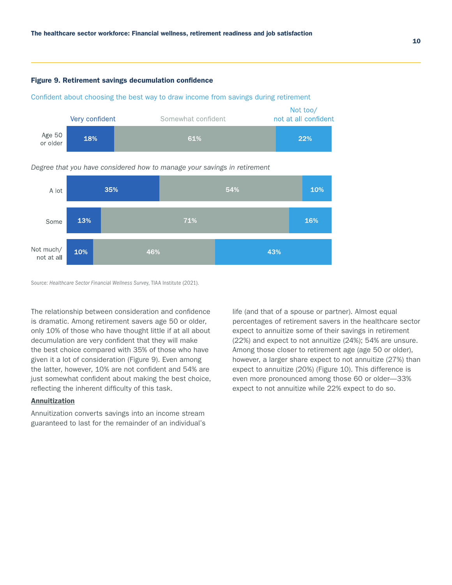#### Figure 9. Retirement savings decumulation confidence

Confident about choosing the best way to draw income from savings during retirement



#### *Degree that you have considered how to manage your savings in retirement*



Source: *Healthcare Sector Financia*l *Wellness Surve*y, TIAA Institute (2021).

The relationship between consideration and confidence is dramatic. Among retirement savers age 50 or older, only 10% of those who have thought little if at all about decumulation are very confident that they will make the best choice compared with 35% of those who have given it a lot of consideration (Figure 9). Even among the latter, however, 10% are not confident and 54% are just somewhat confident about making the best choice, reflecting the inherent difficulty of this task.

#### Annuitization

Annuitization converts savings into an income stream guaranteed to last for the remainder of an individual's life (and that of a spouse or partner). Almost equal percentages of retirement savers in the healthcare sector expect to annuitize some of their savings in retirement (22%) and expect to not annuitize (24%); 54% are unsure. Among those closer to retirement age (age 50 or older), however, a larger share expect to not annuitize (27%) than expect to annuitize (20%) (Figure 10). This difference is even more pronounced among those 60 or older—33% expect to not annuitize while 22% expect to do so.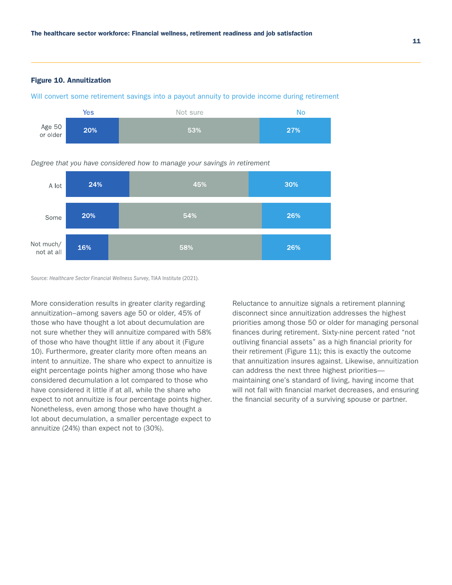#### Figure 10. Annuitization



Will convert some retirement savings into a payout annuity to provide income during retirement

*Degree that you have considered how to manage your savings in retirement* 



11

Source: *Healthcare Sector Financia*l *Wellness Survey*, TIAA Institute (2021).

More consideration results in greater clarity regarding annuitization–among savers age 50 or older, 45% of those who have thought a lot about decumulation are not sure whether they will annuitize compared with 58% of those who have thought little if any about it (Figure 10). Furthermore, greater clarity more often means an intent to annuitize. The share who expect to annuitize is eight percentage points higher among those who have considered decumulation a lot compared to those who have considered it little if at all, while the share who expect to not annuitize is four percentage points higher. Nonetheless, even among those who have thought a lot about decumulation, a smaller percentage expect to annuitize (24%) than expect not to (30%).

Reluctance to annuitize signals a retirement planning disconnect since annuitization addresses the highest priorities among those 50 or older for managing personal finances during retirement. Sixty-nine percent rated "not outliving financial assets" as a high financial priority for their retirement (Figure 11); this is exactly the outcome that annuitization insures against. Likewise, annuitization can address the next three highest priorities maintaining one's standard of living, having income that will not fall with financial market decreases, and ensuring the financial security of a surviving spouse or partner.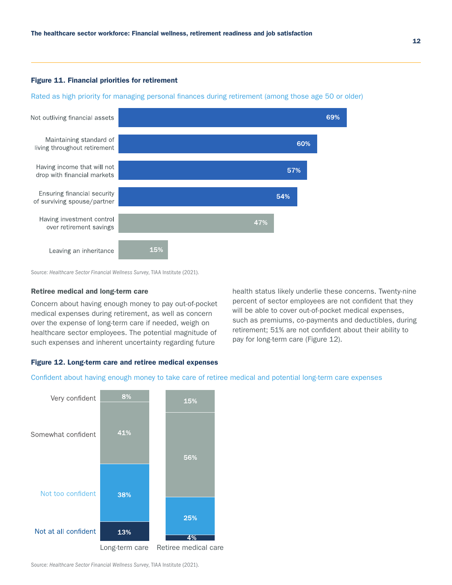#### Figure 11. Financial priorities for retirement

Rated as high priority for managing personal finances during retirement (among those age 50 or older)



Source: *Healthcare Sector Financia*l *Wellness Survey*, TIAA Institute (2021).

#### Retiree medical and long-term care

Concern about having enough money to pay out-of-pocket medical expenses during retirement, as well as concern over the expense of long-term care if needed, weigh on healthcare sector employees. The potential magnitude of such expenses and inherent uncertainty regarding future

health status likely underlie these concerns. Twenty-nine percent of sector employees are not confident that they will be able to cover out-of-pocket medical expenses, such as premiums, co-payments and deductibles, during retirement; 51% are not confident about their ability to pay for long-term care (Figure 12).

#### Figure 12. Long-term care and retiree medical expenses

Confident about having enough money to take care of retiree medical and potential long-term care expenses



Source: *Healthcare Sector Financia*l *Wellness Survey*, TIAA Institute (2021).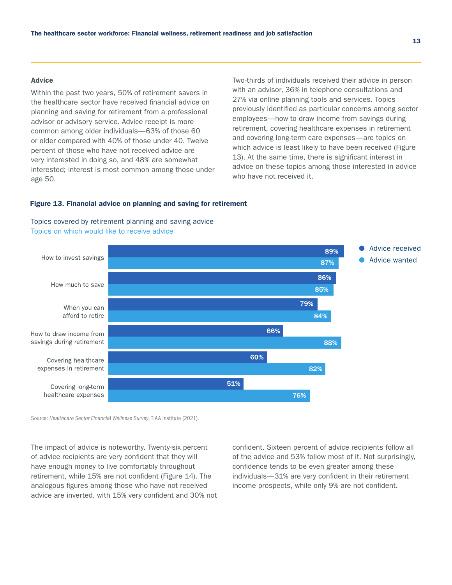#### Advice

Within the past two years, 50% of retirement savers in the healthcare sector have received financial advice on planning and saving for retirement from a professional advisor or advisory service. Advice receipt is more common among older individuals—63% of those 60 or older compared with 40% of those under 40. Twelve percent of those who have not received advice are very interested in doing so, and 48% are somewhat interested; interest is most common among those under age 50.

Two-thirds of individuals received their advice in person with an advisor, 36% in telephone consultations and 27% via online planning tools and services. Topics previously identified as particular concerns among sector employees—how to draw income from savings during retirement, covering healthcare expenses in retirement and covering long-term care expenses—are topics on which advice is least likely to have been received (Figure 13). At the same time, there is significant interest in advice on these topics among those interested in advice who have not received it.

#### Figure 13. Financial advice on planning and saving for retirement





Source: *Healthcare Sector Financia*l *Wellness Survey*, TIAA Institute (2021).

The impact of advice is noteworthy. Twenty-six percent of advice recipients are very confident that they will have enough money to live comfortably throughout retirement, while 15% are not confident (Figure 14). The analogous figures among those who have not received advice are inverted, with 15% very confident and 30% not confident. Sixteen percent of advice recipients follow all of the advice and 53% follow most of it. Not surprisingly, confidence tends to be even greater among these individuals—31% are very confident in their retirement income prospects, while only 9% are not confident.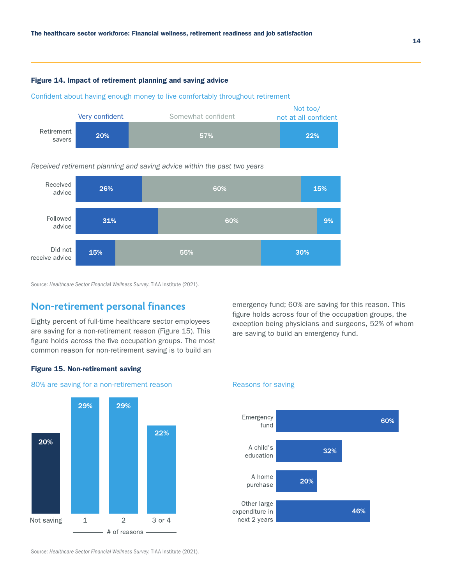#### Figure 14. Impact of retirement planning and saving advice

Confident about having enough money to live comfortably throughout retirement



#### *Received retirement planning and saving advice within the past two years*



Source: *Healthcare Sector Financia*l *Wellness Survey*, TIAA Institute (2021).

# **Non-retirement personal finances**

Eighty percent of full-time healthcare sector employees are saving for a non-retirement reason (Figure 15). This figure holds across the five occupation groups. The most common reason for non-retirement saving is to build an

29%

22%

3 or 4

emergency fund; 60% are saving for this reason. This figure holds across four of the occupation groups, the exception being physicians and surgeons, 52% of whom are saving to build an emergency fund.

#### Figure 15. Non-retirement saving

29%

 $\,1\,$ 

20%

Not saving





Source: *Healthcare Sector Financial Wellness Survey*, TIAA Institute (2021).

 $\overline{2}$ 

- # of reasons -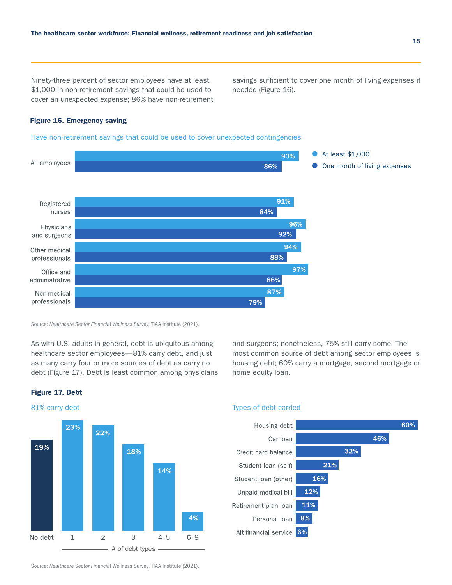Ninety-three percent of sector employees have at least \$1,000 in non-retirement savings that could be used to cover an unexpected expense; 86% have non-retirement savings sufficient to cover one month of living expenses if needed (Figure 16).

#### Figure 16. Emergency saving

Have non-retirement savings that could be used to cover unexpected contingencies



Source: *Healthcare Sector Financia*l *Wellness Survey*, TIAA Institute (2021).

As with U.S. adults in general, debt is ubiquitous among healthcare sector employees—81% carry debt, and just as many carry four or more sources of debt as carry no debt (Figure 17). Debt is least common among physicians and surgeons; nonetheless, 75% still carry some. The most common source of debt among sector employees is housing debt; 60% carry a mortgage, second mortgage or home equity loan.



# Figure 17. Debt





Source: *Healthcare Sector Financia*l Wellness Survey, TIAA Institute (2021).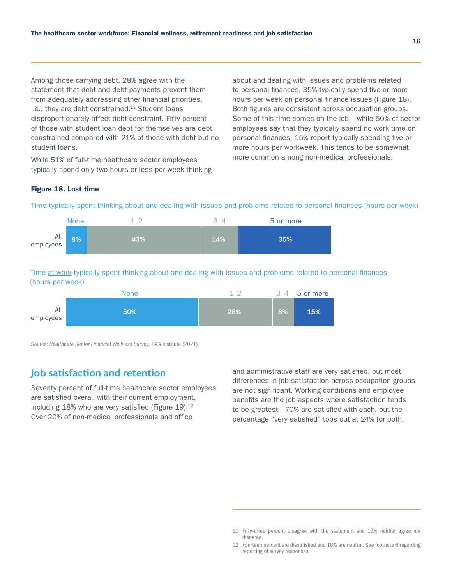Among those carrying debt, 28% agree with the statement that debt and debt payments prevent them from adequately addressing other financial priorities, i.e., they are debt constrained. $11$  Student loans disproportionately affect debt constraint. Fifty percent of those with student loan debt for themselves are debt constrained compared with 21% of those with debt but no student loans.

While 51% of full-time healthcare sector employees typically spend only two hours or less per week thinking about and dealing with issues and problems related to personal finances, 35% typically spend five or more hours per week on personal finance issues (Figure 18). Both figures are consistent across occupation groups. Some of this time comes on the job—while 50% of sector employees say that they typically spend no work time on personal finances, 15% report typically spending five or more hours per workweek. This tends to be somewhat more common among non-medical professionals.

#### Figure 18. Lost time



Time at work typically spent thinking about and dealing with issues and problems related to personal finances (hours per week)

Time typically spent thinking about and dealing with issues and problems related to personal finances (hours per week)



Source: *Healthcare Sector Financia*l *Wellness Survey*, TIAA Institute (2021).

# **Job satisfaction and retention**

Seventy percent of full-time healthcare sector employees are satisfied overall with their current employment, including  $18\%$  who are very satisfied (Figure  $19$ ).<sup>12</sup> Over 20% of non-medical professionals and office

and administrative staff are very satisfied, but most differences in job satisfaction across occupation groups are not significant. Working conditions and employee benefits are the job aspects where satisfaction tends to be greatest—70% are satisfied with each, but the percentage "very satisfied" tops out at 24% for both.

<sup>11</sup> Fifty-three percent disagree with the statement and 19% neither agree nor disagree.

<sup>12</sup> Fourteen percent are dissatisfied and 16% are neutral. See footnote 6 regarding reporting of survey responses.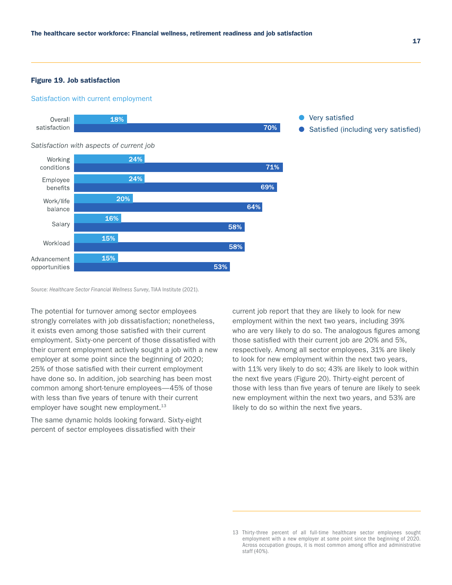#### Figure 19. Job satisfaction

#### Satisfaction with current employment



Source: *Healthcare Sector Financia*l *Wellness Survey*, TIAA Institute (2021).

The potential for turnover among sector employees strongly correlates with job dissatisfaction; nonetheless, it exists even among those satisfied with their current employment. Sixty-one percent of those dissatisfied with their current employment actively sought a job with a new employer at some point since the beginning of 2020; 25% of those satisfied with their current employment have done so. In addition, job searching has been most common among short-tenure employees—45% of those with less than five years of tenure with their current employer have sought new employment.<sup>13</sup>

The same dynamic holds looking forward. Sixty-eight percent of sector employees dissatisfied with their

current job report that they are likely to look for new employment within the next two years, including 39% who are very likely to do so. The analogous figures among those satisfied with their current job are 20% and 5%, respectively. Among all sector employees, 31% are likely to look for new employment within the next two years, with 11% very likely to do so; 43% are likely to look within the next five years (Figure 20). Thirty-eight percent of those with less than five years of tenure are likely to seek new employment within the next two years, and 53% are likely to do so within the next five years.

<sup>13</sup> Thirty-three percent of all full-time healthcare sector employees sought employment with a new employer at some point since the beginning of 2020. Across occupation groups, it is most common among office and administrative staff (40%).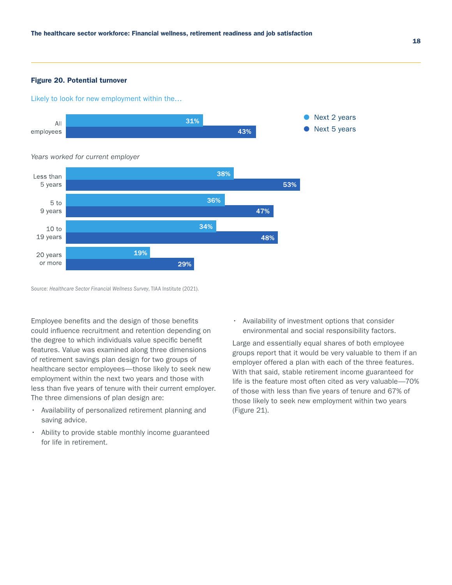#### Figure 20. Potential turnover

Likely to look for new employment within the…



Source: *Healthcare Sector Financia*l *Wellness Survey*, TIAA Institute (2021).

Employee benefits and the design of those benefits could influence recruitment and retention depending on the degree to which individuals value specific benefit features. Value was examined along three dimensions of retirement savings plan design for two groups of healthcare sector employees—those likely to seek new employment within the next two years and those with less than five years of tenure with their current employer. The three dimensions of plan design are:

- Availability of personalized retirement planning and saving advice.
- Ability to provide stable monthly income guaranteed for life in retirement.

• Availability of investment options that consider environmental and social responsibility factors.

Large and essentially equal shares of both employee groups report that it would be very valuable to them if an employer offered a plan with each of the three features. With that said, stable retirement income guaranteed for life is the feature most often cited as very valuable—70% of those with less than five years of tenure and 67% of those likely to seek new employment within two years (Figure 21).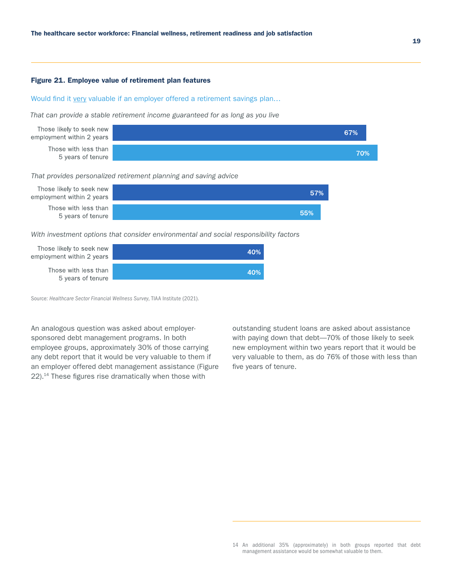#### Figure 21. Employee value of retirement plan features

#### Would find it very valuable if an employer offered a retirement savings plan...

*That can provide a stable retirement income guaranteed for as long as you live*



*That provides personalized retirement planning and saving advice*



*With investment options that consider environmental and social responsibility factors*



Source: *Healthcare Sector Financia*l *Wellness Survey*, TIAA Institute (2021).

An analogous question was asked about employersponsored debt management programs. In both employee groups, approximately 30% of those carrying any debt report that it would be very valuable to them if an employer offered debt management assistance (Figure 22).14 These figures rise dramatically when those with

outstanding student loans are asked about assistance with paying down that debt—70% of those likely to seek new employment within two years report that it would be very valuable to them, as do 76% of those with less than five years of tenure.

<sup>14</sup> An additional 35% (approximately) in both groups reported that debt management assistance would be somewhat valuable to them.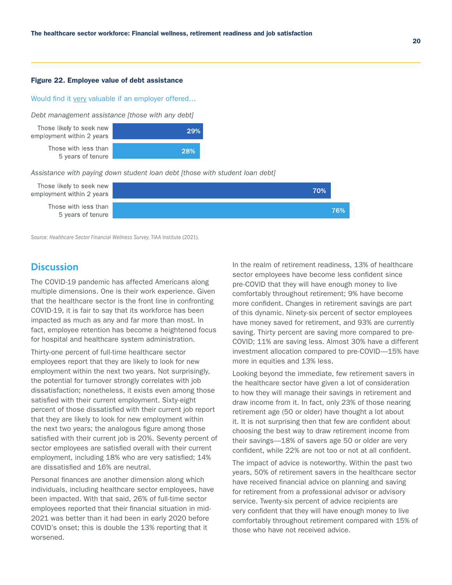#### Figure 22. Employee value of debt assistance

#### Would find it very valuable if an employer offered…

*Debt management assistance [those with any debt]*

Those likely to seek new employment within 2 years Those with less than



*Assistance with paying down student loan debt [those with student loan debt]*



Source: *Healthcare Sector Financia*l *Wellness Survey*, TIAA Institute (2021).

### **Discussion**

The COVID-19 pandemic has affected Americans along multiple dimensions. One is their work experience. Given that the healthcare sector is the front line in confronting COVID-19, it is fair to say that its workforce has been impacted as much as any and far more than most. In fact, employee retention has become a heightened focus for hospital and healthcare system administration.

Thirty-one percent of full-time healthcare sector employees report that they are likely to look for new employment within the next two years. Not surprisingly, the potential for turnover strongly correlates with job dissatisfaction; nonetheless, it exists even among those satisfied with their current employment. Sixty-eight percent of those dissatisfied with their current job report that they are likely to look for new employment within the next two years; the analogous figure among those satisfied with their current job is 20%. Seventy percent of sector employees are satisfied overall with their current employment, including 18% who are very satisfied; 14% are dissatisfied and 16% are neutral.

Personal finances are another dimension along which individuals, including healthcare sector employees, have been impacted. With that said, 26% of full-time sector employees reported that their financial situation in mid-2021 was better than it had been in early 2020 before COVID's onset; this is double the 13% reporting that it worsened.

In the realm of retirement readiness, 13% of healthcare sector employees have become less confident since pre-COVID that they will have enough money to live comfortably throughout retirement; 9% have become more confident. Changes in retirement savings are part of this dynamic. Ninety-six percent of sector employees have money saved for retirement, and 93% are currently saving. Thirty percent are saving more compared to pre-COVID; 11% are saving less. Almost 30% have a different investment allocation compared to pre-COVID—15% have more in equities and 13% less.

Looking beyond the immediate, few retirement savers in the healthcare sector have given a lot of consideration to how they will manage their savings in retirement and draw income from it. In fact, only 23% of those nearing retirement age (50 or older) have thought a lot about it. It is not surprising then that few are confident about choosing the best way to draw retirement income from their savings—18% of savers age 50 or older are very confident, while 22% are not too or not at all confident.

The impact of advice is noteworthy. Within the past two years, 50% of retirement savers in the healthcare sector have received financial advice on planning and saving for retirement from a professional advisor or advisory service. Twenty-six percent of advice recipients are very confident that they will have enough money to live comfortably throughout retirement compared with 15% of those who have not received advice.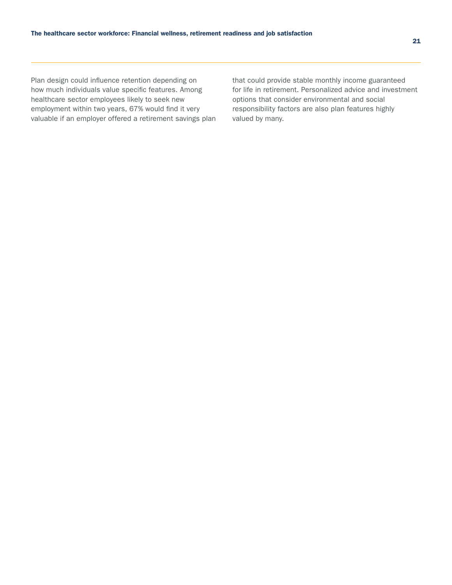Plan design could influence retention depending on how much individuals value specific features. Among healthcare sector employees likely to seek new employment within two years, 67% would find it very valuable if an employer offered a retirement savings plan that could provide stable monthly income guaranteed for life in retirement. Personalized advice and investment options that consider environmental and social responsibility factors are also plan features highly valued by many.